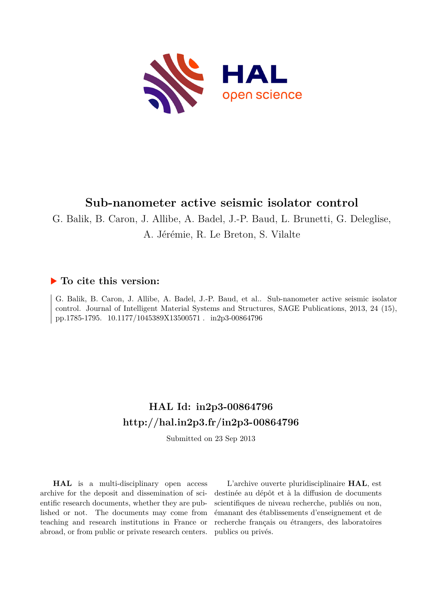

# **Sub-nanometer active seismic isolator control**

G. Balik, B. Caron, J. Allibe, A. Badel, J.-P. Baud, L. Brunetti, G. Deleglise,

A. Jérémie, R. Le Breton, S. Vilalte

## **To cite this version:**

G. Balik, B. Caron, J. Allibe, A. Badel, J.-P. Baud, et al.. Sub-nanometer active seismic isolator control. Journal of Intelligent Material Systems and Structures, SAGE Publications, 2013, 24 (15), pp.1785-1795.  $10.1177/1045389X13500571$ . in2p3-00864796

# **HAL Id: in2p3-00864796 <http://hal.in2p3.fr/in2p3-00864796>**

Submitted on 23 Sep 2013

**HAL** is a multi-disciplinary open access archive for the deposit and dissemination of scientific research documents, whether they are published or not. The documents may come from teaching and research institutions in France or abroad, or from public or private research centers.

L'archive ouverte pluridisciplinaire **HAL**, est destinée au dépôt et à la diffusion de documents scientifiques de niveau recherche, publiés ou non, émanant des établissements d'enseignement et de recherche français ou étrangers, des laboratoires publics ou privés.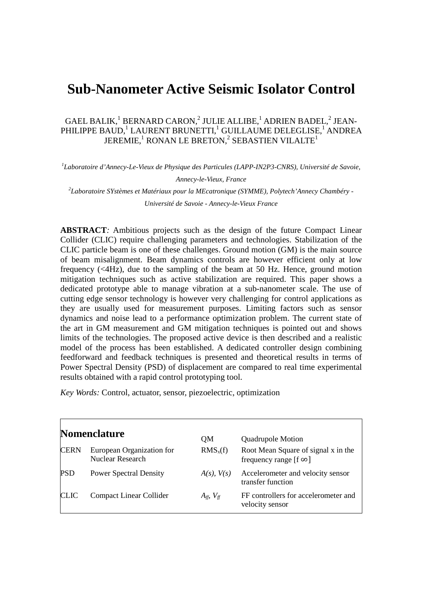# **Sub-Nanometer Active Seismic Isolator Control**

#### GAEL BALIK, $^1$  BERNARD CARON, $^2$  JULIE ALLIBE, $^1$  ADRIEN BADEL, $^2$  JEAN-PHILIPPE BAUD, $^1$  LAURENT BRUNETTI, $^1$  GUILLAUME DELEGLISE, $^1$  ANDREA JEREMIE, $^{\rm 1}$  RONAN LE BRETON, $^{\rm 2}$  SEBASTIEN VILALTE $^{\rm 1}$

<sup>1</sup>Laboratoire d'Annecy-Le-Vieux de Physique des Particules (LAPP-IN2P3-CNRS), Université de Savoie,

*Annecy-le-Vieux, France* 

*2 Laboratoire SYstèmes et Matériaux pour la MEcatronique (SYMME), Polytech'Annecy Chambéry -* 

*Université de Savoie - Annecy-le-Vieux France* 

**ABSTRACT***:* Ambitious projects such as the design of the future Compact Linear Collider (CLIC) require challenging parameters and technologies. Stabilization of the CLIC particle beam is one of these challenges. Ground motion (GM) is the main source of beam misalignment. Beam dynamics controls are however efficient only at low frequency (<4Hz), due to the sampling of the beam at 50 Hz. Hence, ground motion mitigation techniques such as active stabilization are required. This paper shows a dedicated prototype able to manage vibration at a sub-nanometer scale. The use of cutting edge sensor technology is however very challenging for control applications as they are usually used for measurement purposes. Limiting factors such as sensor dynamics and noise lead to a performance optimization problem. The current state of the art in GM measurement and GM mitigation techniques is pointed out and shows limits of the technologies. The proposed active device is then described and a realistic model of the process has been established. A dedicated controller design combining feedforward and feedback techniques is presented and theoretical results in terms of Power Spectral Density (PSD) of displacement are compared to real time experimental results obtained with a rapid control prototyping tool.

*Key Words:* Control, actuator, sensor, piezoelectric, optimization

| <b>Nomenclature</b> |                                               | OМ                  | Quadrupole Motion                                                    |  |
|---------------------|-----------------------------------------------|---------------------|----------------------------------------------------------------------|--|
| <b>CERN</b>         | European Organization for<br>Nuclear Research | $RMS_x(f)$          | Root Mean Square of signal x in the<br>frequency range [f $\infty$ ] |  |
| <b>PSD</b>          | <b>Power Spectral Density</b>                 | $A(s)$ , $V(s)$     | Accelerometer and velocity sensor<br>transfer function               |  |
| <b>CLIC</b>         | <b>Compact Linear Collider</b>                | $A_{ff}$ , $V_{ff}$ | FF controllers for accelerometer and<br>velocity sensor              |  |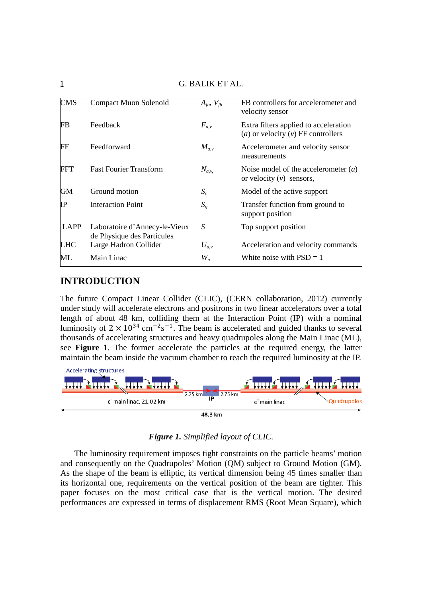|                        | 9. <i>DI</i> ILIII LI <i>T</i> IL.                          |                     |                                                                               |  |  |  |
|------------------------|-------------------------------------------------------------|---------------------|-------------------------------------------------------------------------------|--|--|--|
| <b>CMS</b>             | Compact Muon Solenoid                                       | $A_{fb}$ , $V_{fb}$ | FB controllers for accelerometer and<br>velocity sensor                       |  |  |  |
| <b>FB</b>              | Feedback                                                    | $F_{a,v}$           | Extra filters applied to acceleration<br>(a) or velocity $(v)$ FF controllers |  |  |  |
| $\mathbf{F}\mathbf{F}$ | Feedforward                                                 | $M_{a,v}$           | Accelerometer and velocity sensor<br>measurements                             |  |  |  |
| <b>FFT</b>             | <b>Fast Fourier Transform</b>                               | $N_{a,v}$           | Noise model of the accelerometer $(a)$<br>or velocity $(v)$ sensors,          |  |  |  |
| <b>GM</b>              | Ground motion                                               | $S_c$               | Model of the active support                                                   |  |  |  |
| IP                     | <b>Interaction Point</b>                                    | $S_{g}$             | Transfer function from ground to<br>support position                          |  |  |  |
| LAPP                   | Laboratoire d'Annecy-le-Vieux<br>de Physique des Particules | S                   | Top support position                                                          |  |  |  |
| <b>LHC</b>             | Large Hadron Collider                                       | $U_{a,v}$           | Acceleration and velocity commands                                            |  |  |  |
| ML                     | Main Linac                                                  | $W_n$               | White noise with $PSD = 1$                                                    |  |  |  |

### **INTRODUCTION**

The future Compact Linear Collider (CLIC), (CERN collaboration, 2012) currently under study will accelerate electrons and positrons in two linear accelerators over a total length of about 48 km, colliding them at the Interaction Point (IP) with a nominal luminosity of  $2 \times 10^{34}$  cm<sup>-2</sup>s<sup>-1</sup>. The beam is accelerated and guided thanks to several thousands of accelerating structures and heavy quadrupoles along the Main Linac (ML), see **Figure 1**. The former accelerate the particles at the required energy, the latter maintain the beam inside the vacuum chamber to reach the required luminosity at the IP.



*Figure 1. Simplified layout of CLIC.* 

The luminosity requirement imposes tight constraints on the particle beams' motion and consequently on the Quadrupoles' Motion (QM) subject to Ground Motion (GM). As the shape of the beam is elliptic, its vertical dimension being 45 times smaller than its horizontal one, requirements on the vertical position of the beam are tighter. This paper focuses on the most critical case that is the vertical motion. The desired performances are expressed in terms of displacement RMS (Root Mean Square), which

1 G. BALIK ET AL.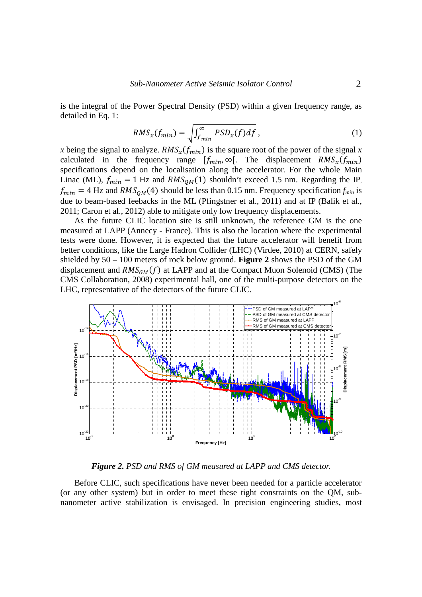is the integral of the Power Spectral Density (PSD) within a given frequency range, as detailed in Eq. 1:

$$
RMS_x(f_{min}) = \sqrt{\int_{f_{min}}^{\infty} PSD_x(f) df}, \qquad (1)
$$

*x* being the signal to analyze.  $RMS_x(f_{min})$  is the square root of the power of the signal *x* calculated in the frequency range  $[f_{min}, \infty]$ . The displacement  $RMS_x(f_{min})$ specifications depend on the localisation along the accelerator. For the whole Main Linac (ML),  $f_{min} = 1$  Hz and  $RMS_{QM}(1)$  shouldn't exceed 1.5 nm. Regarding the IP,  $f_{min} = 4$  Hz and  $RMS_{OM}(4)$  should be less than 0.15 nm. Frequency specification  $f_{min}$  is due to beam-based feebacks in the ML (Pfingstner et al., 2011) and at IP (Balik et al., 2011; Caron et al., 2012) able to mitigate only low frequency displacements.

As the future CLIC location site is still unknown, the reference GM is the one measured at LAPP (Annecy - France). This is also the location where the experimental tests were done. However, it is expected that the future accelerator will benefit from better conditions, like the Large Hadron Collider (LHC) (Virdee, 2010) at CERN, safely shielded by 50 – 100 meters of rock below ground. **Figure 2** shows the PSD of the GM displacement and  $RMS_{GM}(f)$  at LAPP and at the Compact Muon Solenoid (CMS) (The CMS Collaboration, 2008) experimental hall, one of the multi-purpose detectors on the LHC, representative of the detectors of the future CLIC.



*Figure 2. PSD and RMS of GM measured at LAPP and CMS detector.* 

Before CLIC, such specifications have never been needed for a particle accelerator (or any other system) but in order to meet these tight constraints on the QM, subnanometer active stabilization is envisaged. In precision engineering studies, most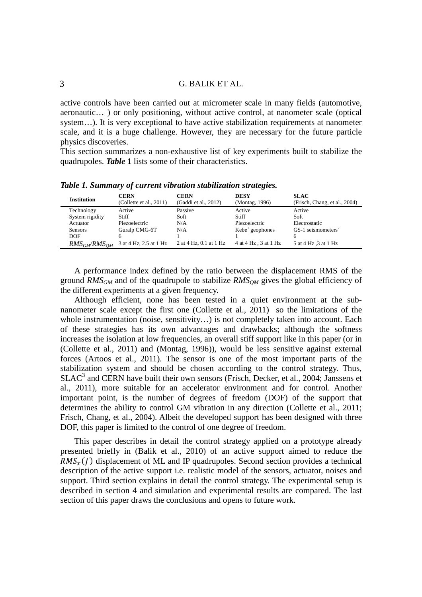active controls have been carried out at micrometer scale in many fields (automotive, aeronautic… ) or only positioning, without active control, at nanometer scale (optical system...). It is very exceptional to have active stabilization requirements at nanometer scale, and it is a huge challenge. However, they are necessary for the future particle physics discoveries.

This section summarizes a non-exhaustive list of key experiments built to stabilize the quadrupoles. *Table* **1** lists some of their characteristics.

|                     |                                        |                                     | . .                           |                                              |
|---------------------|----------------------------------------|-------------------------------------|-------------------------------|----------------------------------------------|
| <b>Institution</b>  | <b>CERN</b><br>(Collette et al., 2011) | <b>CERN</b><br>(Gaddi et al., 2012) | <b>DESY</b><br>(Montag, 1996) | <b>SLAC</b><br>(Frisch, Chang, et al., 2004) |
| Technology          | Active                                 | Passive                             | Active                        | Active                                       |
| System rigidity     | Stiff                                  | Soft                                | Stiff                         | Soft                                         |
| Actuator            | Piezoelectric                          | N/A                                 | Piezoelectric                 | Electrostatic                                |
| <b>Sensors</b>      | Guralp CMG-6T                          | N/A                                 | Kebe <sup>1</sup> geophones   | $GS-1$ seismometers <sup>2</sup>             |
| <b>DOF</b>          | h                                      |                                     |                               | 6                                            |
| $RMS_{GM}/RMS_{OM}$ | 3 at 4 Hz, 2.5 at 1 Hz                 | 2 at 4 Hz, 0.1 at 1 Hz              | 4 at 4 Hz, 3 at 1 Hz          | 5 at 4 Hz, 3 at 1 Hz                         |

*Table 1. Summary of current vibration stabilization strategies.* 

A performance index defined by the ratio between the displacement RMS of the ground *RMSGM* and of the quadrupole to stabilize *RMSQM* gives the global efficiency of the different experiments at a given frequency.

Although efficient, none has been tested in a quiet environment at the subnanometer scale except the first one (Collette et al., 2011) so the limitations of the whole instrumentation (noise, sensitivity...) is not completely taken into account. Each of these strategies has its own advantages and drawbacks; although the softness increases the isolation at low frequencies, an overall stiff support like in this paper (or in (Collette et al., 2011) and (Montag, 1996)), would be less sensitive against external forces (Artoos et al., 2011). The sensor is one of the most important parts of the stabilization system and should be chosen according to the control strategy. Thus, SLAC<sup>3</sup> and CERN have built their own sensors (Frisch, Decker, et al., 2004; Janssens et al., 2011), more suitable for an accelerator environment and for control. Another important point, is the number of degrees of freedom (DOF) of the support that determines the ability to control GM vibration in any direction (Collette et al., 2011; Frisch, Chang, et al., 2004). Albeit the developed support has been designed with three DOF, this paper is limited to the control of one degree of freedom.

This paper describes in detail the control strategy applied on a prototype already presented briefly in (Balik et al., 2010) of an active support aimed to reduce the  $RMS<sub>x</sub>(f)$  displacement of ML and IP quadrupoles. Second section provides a technical description of the active support i.e. realistic model of the sensors, actuator, noises and support. Third section explains in detail the control strategy. The experimental setup is described in section 4 and simulation and experimental results are compared. The last section of this paper draws the conclusions and opens to future work.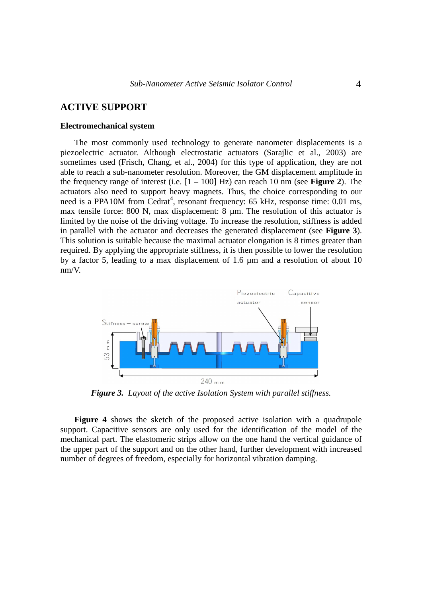#### **ACTIVE SUPPORT**

#### **Electromechanical system**

The most commonly used technology to generate nanometer displacements is a piezoelectric actuator. Although electrostatic actuators (Sarajlic et al., 2003) are sometimes used (Frisch, Chang, et al., 2004) for this type of application, they are not able to reach a sub-nanometer resolution. Moreover, the GM displacement amplitude in the frequency range of interest (i.e.  $[1 - 100]$  Hz) can reach 10 nm (see **Figure 2**). The actuators also need to support heavy magnets. Thus, the choice corresponding to our need is a PPA10M from Cedrat<sup>4</sup>, resonant frequency: 65 kHz, response time: 0.01 ms, max tensile force: 800 N, max displacement: 8  $\mu$ m. The resolution of this actuator is limited by the noise of the driving voltage. To increase the resolution, stiffness is added in parallel with the actuator and decreases the generated displacement (see **Figure 3**). This solution is suitable because the maximal actuator elongation is 8 times greater than required. By applying the appropriate stiffness, it is then possible to lower the resolution by a factor 5, leading to a max displacement of 1.6 µm and a resolution of about 10 nm/V.



*Figure 3. Layout of the active Isolation System with parallel stiffness.* 

**Figure 4** shows the sketch of the proposed active isolation with a quadrupole support. Capacitive sensors are only used for the identification of the model of the mechanical part. The elastomeric strips allow on the one hand the vertical guidance of the upper part of the support and on the other hand, further development with increased number of degrees of freedom, especially for horizontal vibration damping.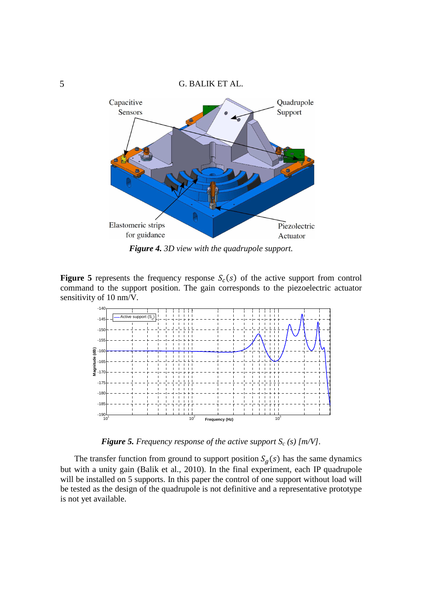# 5 G. BALIK ET AL. Capacitive Quadrupole Sensors Support Elastomeric strips Piezolectric for guidance Actuator

*Figure 4. 3D view with the quadrupole support.* 

**Figure 5** represents the frequency response  $S_c(s)$  of the active support from control command to the support position. The gain corresponds to the piezoelectric actuator sensitivity of 10 nm/V*.* 



*Figure 5. Frequency response of the active support Sc (s) [m/V].* 

The transfer function from ground to support position  $S_g(s)$  has the same dynamics but with a unity gain (Balik et al., 2010). In the final experiment, each IP quadrupole will be installed on 5 supports. In this paper the control of one support without load will be tested as the design of the quadrupole is not definitive and a representative prototype is not yet available.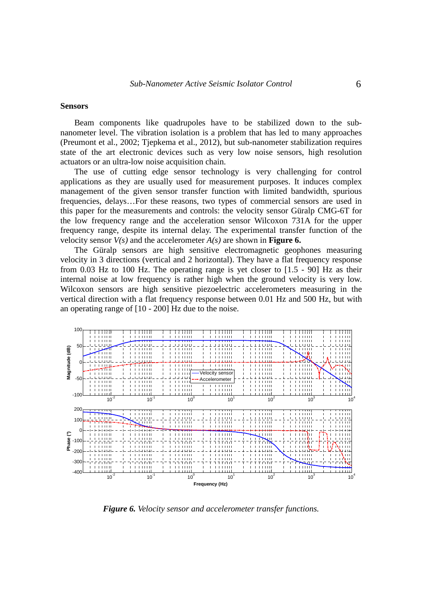#### **Sensors**

Beam components like quadrupoles have to be stabilized down to the subnanometer level. The vibration isolation is a problem that has led to many approaches (Preumont et al., 2002; Tjepkema et al., 2012), but sub-nanometer stabilization requires state of the art electronic devices such as very low noise sensors, high resolution actuators or an ultra-low noise acquisition chain.

The use of cutting edge sensor technology is very challenging for control applications as they are usually used for measurement purposes. It induces complex management of the given sensor transfer function with limited bandwidth, spurious frequencies, delays…For these reasons, two types of commercial sensors are used in this paper for the measurements and controls: the velocity sensor Güralp CMG-6T for the low frequency range and the acceleration sensor Wilcoxon 731A for the upper frequency range, despite its internal delay. The experimental transfer function of the velocity sensor  $V(s)$  and the accelerometer  $A(s)$  are shown in **Figure 6.** 

The Güralp sensors are high sensitive electromagnetic geophones measuring velocity in 3 directions (vertical and 2 horizontal). They have a flat frequency response from 0.03 Hz to 100 Hz. The operating range is yet closer to [1.5 - 90] Hz as their internal noise at low frequency is rather high when the ground velocity is very low. Wilcoxon sensors are high sensitive piezoelectric accelerometers measuring in the vertical direction with a flat frequency response between 0.01 Hz and 500 Hz, but with an operating range of [10 - 200] Hz due to the noise.



*Figure 6. Velocity sensor and accelerometer transfer functions.*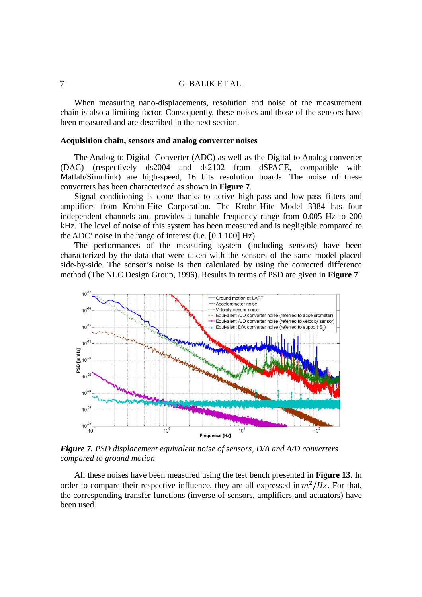When measuring nano-displacements, resolution and noise of the measurement chain is also a limiting factor. Consequently, these noises and those of the sensors have been measured and are described in the next section.

#### **Acquisition chain, sensors and analog converter noises**

The Analog to Digital Converter (ADC) as well as the Digital to Analog converter (DAC) (respectively ds2004 and ds2102 from dSPACE, compatible with Matlab/Simulink) are high-speed, 16 bits resolution boards. The noise of these converters has been characterized as shown in **Figure 7**.

Signal conditioning is done thanks to active high-pass and low-pass filters and amplifiers from Krohn-Hite Corporation. The Krohn-Hite Model 3384 has four independent channels and provides a tunable frequency range from 0.005 Hz to 200 kHz. The level of noise of this system has been measured and is negligible compared to the ADC' noise in the range of interest (i.e. [0.1 100] Hz).

The performances of the measuring system (including sensors) have been characterized by the data that were taken with the sensors of the same model placed side-by-side. The sensor's noise is then calculated by using the corrected difference method (The NLC Design Group, 1996). Results in terms of PSD are given in **Figure 7**.



*Figure 7. PSD displacement equivalent noise of sensors, D/A and A/D converters compared to ground motion* 

All these noises have been measured using the test bench presented in **Figure 13**. In order to compare their respective influence, they are all expressed in  $m^2/Hz$ . For that, the corresponding transfer functions (inverse of sensors, amplifiers and actuators) have been used.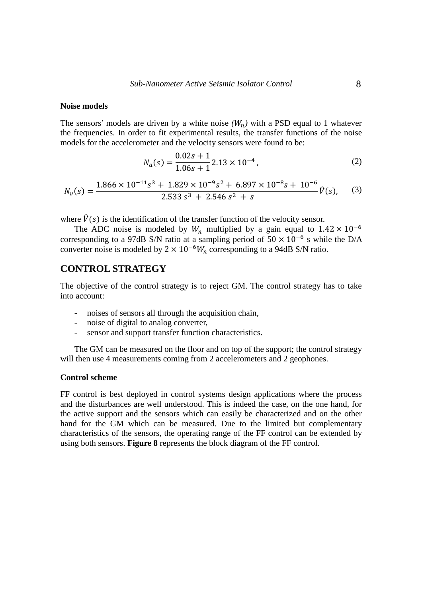#### **Noise models**

The sensors' models are driven by a white noise  $(W_n)$  with a PSD equal to 1 whatever the frequencies. In order to fit experimental results, the transfer functions of the noise models for the accelerometer and the velocity sensors were found to be:

$$
N_a(s) = \frac{0.02s + 1}{1.06s + 1} 2.13 \times 10^{-4},\tag{2}
$$

$$
N_{\nu}(s) = \frac{1.866 \times 10^{-11} s^3 + 1.829 \times 10^{-9} s^2 + 6.897 \times 10^{-8} s + 10^{-6}}{2.533 s^3 + 2.546 s^2 + s} \hat{V}(s), \quad (3)
$$

where  $\hat{V}(s)$  is the identification of the transfer function of the velocity sensor.

The ADC noise is modeled by  $W_n$  multiplied by a gain equal to  $1.42 \times 10^{-6}$ corresponding to a 97dB S/N ratio at a sampling period of  $50 \times 10^{-6}$  s while the D/A converter noise is modeled by  $2 \times 10^{-6} W_n$  corresponding to a 94dB S/N ratio.

#### **CONTROL STRATEGY**

The objective of the control strategy is to reject GM. The control strategy has to take into account:

- noises of sensors all through the acquisition chain,
- noise of digital to analog converter,
- sensor and support transfer function characteristics.

The GM can be measured on the floor and on top of the support; the control strategy will then use 4 measurements coming from 2 accelerometers and 2 geophones.

#### **Control scheme**

FF control is best deployed in control systems design applications where the process and the disturbances are well understood. This is indeed the case, on the one hand, for the active support and the sensors which can easily be characterized and on the other hand for the GM which can be measured. Due to the limited but complementary characteristics of the sensors, the operating range of the FF control can be extended by using both sensors. **Figure 8** represents the block diagram of the FF control.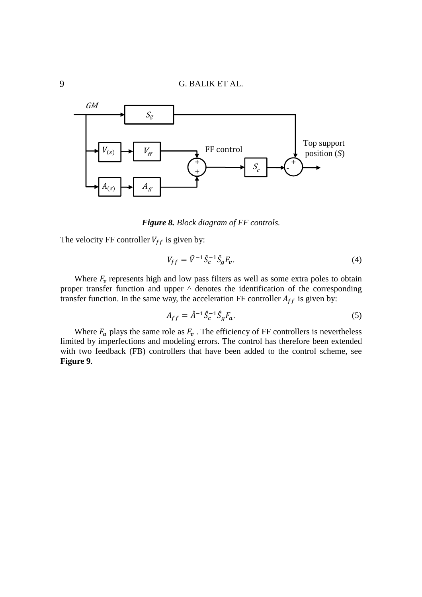

*Figure 8. Block diagram of FF controls.* 

The velocity FF controller  $V_{ff}$  is given by:

$$
V_{ff} = \hat{V}^{-1} \hat{S}_c^{-1} \hat{S}_g F_v.
$$
 (4)

Where  $F_v$  represents high and low pass filters as well as some extra poles to obtain proper transfer function and upper ^ denotes the identification of the corresponding transfer function. In the same way, the acceleration FF controller  $A_{ff}$  is given by:

$$
A_{ff} = \hat{A}^{-1} \hat{S}_c^{-1} \hat{S}_g F_a.
$$
 (5)

Where  $F_a$  plays the same role as  $F_v$ . The efficiency of FF controllers is nevertheless limited by imperfections and modeling errors. The control has therefore been extended with two feedback (FB) controllers that have been added to the control scheme, see **Figure 9**.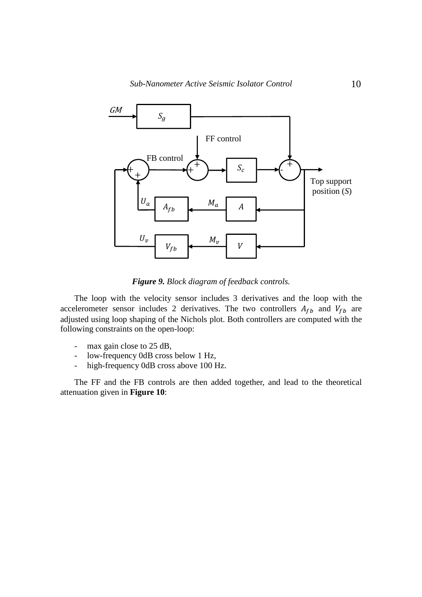

*Figure 9. Block diagram of feedback controls.* 

The loop with the velocity sensor includes 3 derivatives and the loop with the accelerometer sensor includes 2 derivatives. The two controllers  $A_{fb}$  and  $V_{fb}$  are adjusted using loop shaping of the Nichols plot. Both controllers are computed with the following constraints on the open-loop:

- max gain close to 25 dB,
- low-frequency 0dB cross below 1 Hz,
- high-frequency 0dB cross above 100 Hz.

The FF and the FB controls are then added together, and lead to the theoretical attenuation given in **Figure 10**: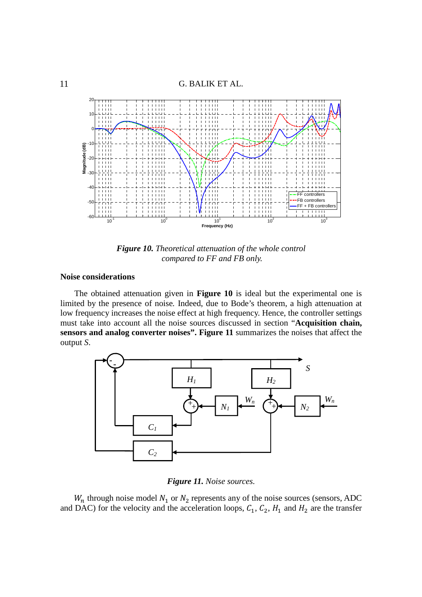

*Figure 10. Theoretical attenuation of the whole control compared to FF and FB only.* 

#### **Noise considerations**

The obtained attenuation given in **Figure 10** is ideal but the experimental one is limited by the presence of noise*.* Indeed, due to Bode's theorem, a high attenuation at low frequency increases the noise effect at high frequency. Hence, the controller settings must take into account all the noise sources discussed in section "**Acquisition chain, sensors and analog converter noises". Figure 11** summarizes the noises that affect the output *S*.



*Figure 11. Noise sources.* 

 $W_n$  through noise model  $N_1$  or  $N_2$  represents any of the noise sources (sensors, ADC and DAC) for the velocity and the acceleration loops,  $C_1$ ,  $C_2$ ,  $H_1$  and  $H_2$  are the transfer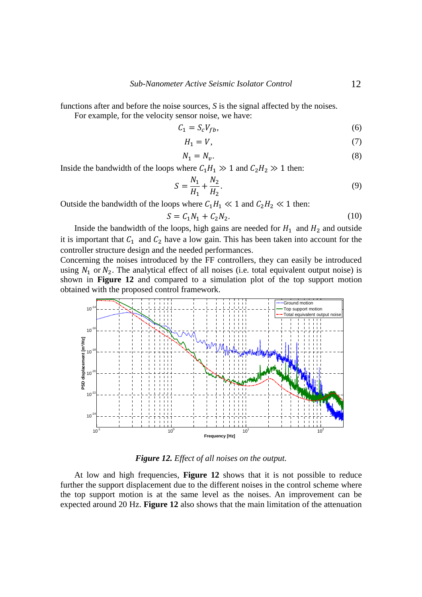functions after and before the noise sources, *S* is the signal affected by the noises.

For example, for the velocity sensor noise, we have:

$$
C_1 = S_c V_{fb},\tag{6}
$$

$$
H_1 = V,\t\t(7)
$$

$$
N_1 = N_v. \tag{8}
$$

Inside the bandwidth of the loops where  $C_1H_1 \gg 1$  and  $C_2H_2 \gg 1$  then:

$$
S = \frac{N_1}{H_1} + \frac{N_2}{H_2}.\tag{9}
$$

Outside the bandwidth of the loops where  $C_1H_1 \ll 1$  and  $C_2H_2 \ll 1$  then:

$$
S = C_1 N_1 + C_2 N_2. \tag{10}
$$

Inside the bandwidth of the loops, high gains are needed for  $H_1$  and  $H_2$  and outside it is important that  $C_1$  and  $C_2$  have a low gain. This has been taken into account for the controller structure design and the needed performances.

Concerning the noises introduced by the FF controllers, they can easily be introduced using  $N_1$  or  $N_2$ . The analytical effect of all noises (i.e. total equivalent output noise) is shown in **Figure 12** and compared to a simulation plot of the top support motion obtained with the proposed control framework.



*Figure 12. Effect of all noises on the output.* 

At low and high frequencies, **Figure 12** shows that it is not possible to reduce further the support displacement due to the different noises in the control scheme where the top support motion is at the same level as the noises. An improvement can be expected around 20 Hz. **Figure 12** also shows that the main limitation of the attenuation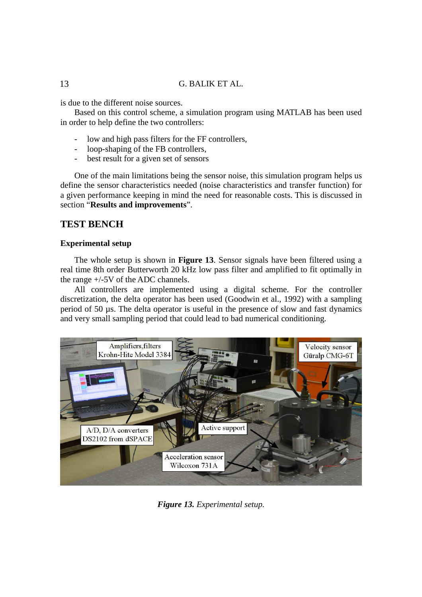is due to the different noise sources.

Based on this control scheme, a simulation program using MATLAB has been used in order to help define the two controllers:

- low and high pass filters for the FF controllers,
- loop-shaping of the FB controllers,
- best result for a given set of sensors

One of the main limitations being the sensor noise, this simulation program helps us define the sensor characteristics needed (noise characteristics and transfer function) for a given performance keeping in mind the need for reasonable costs. This is discussed in section "**Results and improvements**".

#### **TEST BENCH**

#### **Experimental setup**

The whole setup is shown in **Figure 13**. Sensor signals have been filtered using a real time 8th order Butterworth 20 kHz low pass filter and amplified to fit optimally in the range +/-5V of the ADC channels.

All controllers are implemented using a digital scheme. For the controller discretization, the delta operator has been used (Goodwin et al., 1992) with a sampling period of 50 µs. The delta operator is useful in the presence of slow and fast dynamics and very small sampling period that could lead to bad numerical conditioning.



*Figure 13. Experimental setup.*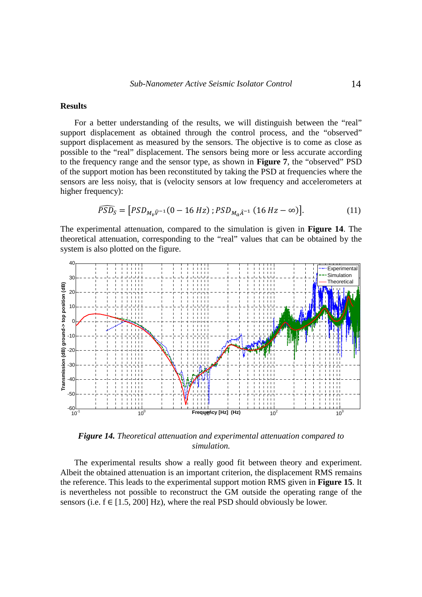#### **Results**

For a better understanding of the results, we will distinguish between the "real" support displacement as obtained through the control process, and the "observed" support displacement as measured by the sensors. The objective is to come as close as possible to the "real" displacement. The sensors being more or less accurate according to the frequency range and the sensor type, as shown in **Figure 7**, the "observed" PSD of the support motion has been reconstituted by taking the PSD at frequencies where the sensors are less noisy, that is (velocity sensors at low frequency and accelerometers at higher frequency):

$$
\widehat{PSD_S} = [PSD_{M_v\widehat{V}^{-1}}(0 - 16 Hz); PSD_{M_a\widehat{A}^{-1}}(16 Hz - \infty)]. \tag{11}
$$

The experimental attenuation, compared to the simulation is given in **Figure 14**. The theoretical attenuation, corresponding to the "real" values that can be obtained by the system is also plotted on the figure.



*Figure 14. Theoretical attenuation and experimental attenuation compared to simulation.* 

The experimental results show a really good fit between theory and experiment. Albeit the obtained attenuation is an important criterion, the displacement RMS remains the reference. This leads to the experimental support motion RMS given in **Figure 15**. It is nevertheless not possible to reconstruct the GM outside the operating range of the sensors (i.e.  $f \in [1.5, 200]$  Hz), where the real PSD should obviously be lower.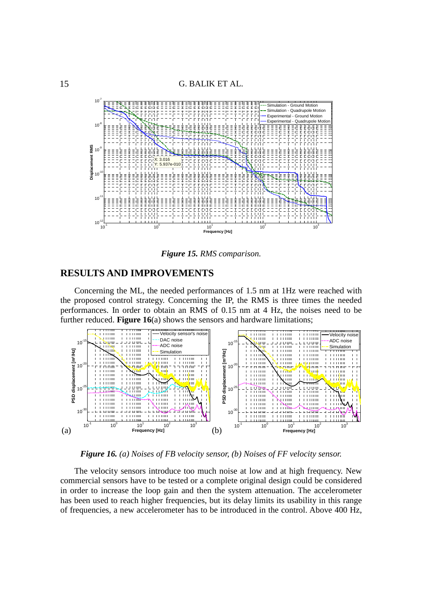

*Figure 15. RMS comparison.* 

#### **RESULTS AND IMPROVEMENTS**

Concerning the ML, the needed performances of 1.5 nm at 1Hz were reached with the proposed control strategy. Concerning the IP, the RMS is three times the needed performances. In order to obtain an RMS of 0.15 nm at 4 Hz, the noises need to be further reduced. **Figure 16**(a) shows the sensors and hardware limitations;



*Figure 16. (a) Noises of FB velocity sensor, (b) Noises of FF velocity sensor.* 

The velocity sensors introduce too much noise at low and at high frequency. New commercial sensors have to be tested or a complete original design could be considered in order to increase the loop gain and then the system attenuation. The accelerometer has been used to reach higher frequencies, but its delay limits its usability in this range of frequencies, a new accelerometer has to be introduced in the control. Above 400 Hz,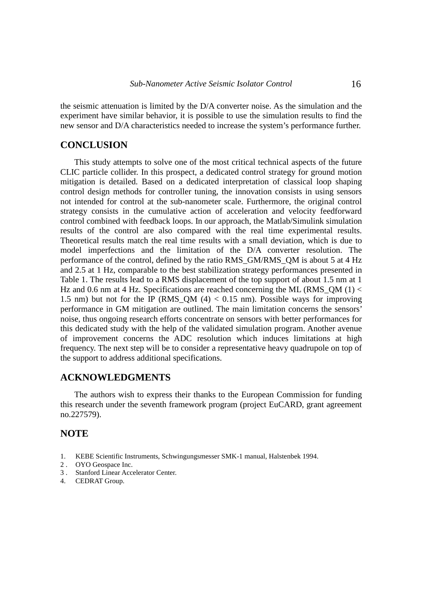the seismic attenuation is limited by the D/A converter noise. As the simulation and the experiment have similar behavior, it is possible to use the simulation results to find the new sensor and D/A characteristics needed to increase the system's performance further.

#### **CONCLUSION**

This study attempts to solve one of the most critical technical aspects of the future CLIC particle collider. In this prospect, a dedicated control strategy for ground motion mitigation is detailed. Based on a dedicated interpretation of classical loop shaping control design methods for controller tuning, the innovation consists in using sensors not intended for control at the sub-nanometer scale. Furthermore, the original control strategy consists in the cumulative action of acceleration and velocity feedforward control combined with feedback loops. In our approach, the Matlab/Simulink simulation results of the control are also compared with the real time experimental results. Theoretical results match the real time results with a small deviation, which is due to model imperfections and the limitation of the D/A converter resolution. The performance of the control, defined by the ratio RMS\_GM/RMS\_QM is about 5 at 4 Hz and 2.5 at 1 Hz, comparable to the best stabilization strategy performances presented in Table 1. The results lead to a RMS displacement of the top support of about 1.5 nm at 1 Hz and 0.6 nm at 4 Hz. Specifications are reached concerning the ML (RMS\_QM  $(1)$  < 1.5 nm) but not for the IP (RMS OM  $(4) < 0.15$  nm). Possible ways for improving performance in GM mitigation are outlined. The main limitation concerns the sensors' noise, thus ongoing research efforts concentrate on sensors with better performances for this dedicated study with the help of the validated simulation program. Another avenue of improvement concerns the ADC resolution which induces limitations at high frequency. The next step will be to consider a representative heavy quadrupole on top of the support to address additional specifications.

#### **ACKNOWLEDGMENTS**

The authors wish to express their thanks to the European Commission for funding this research under the seventh framework program (project EuCARD, grant agreement no.227579).

#### **NOTE**

- 1. KEBE Scientific Instruments, Schwingungsmesser SMK-1 manual, Halstenbek 1994.
- 2 . OYO Geospace Inc.
- 3 . Stanford Linear Accelerator Center.
- 4. CEDRAT Group.